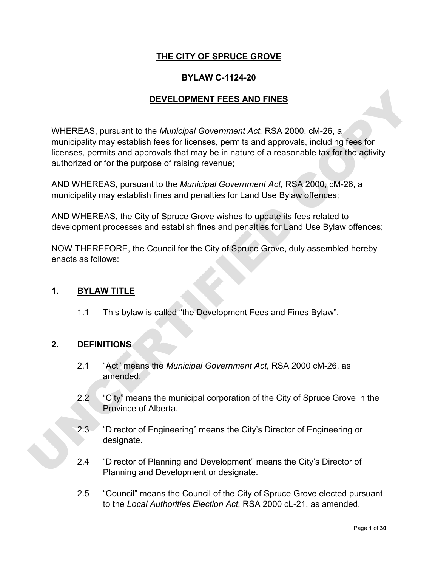### **THE CITY OF SPRUCE GROVE**

### **BYLAW C-1124-20**

### **DEVELOPMENT FEES AND FINES**

**DEVELOPMENT FEES AND FINES**<br>
WHEREAS, pursuant to the *Municipal Government Act*, RSA 2000, cM-26, a<br>
municipality may establish fees for licenses, permits and approvals, including fees for<br>
licenses, permits and approval WHEREAS, pursuant to the *Municipal Government Act,* RSA 2000, cM-26, a municipality may establish fees for licenses, permits and approvals, including fees for licenses, permits and approvals that may be in nature of a reasonable tax for the activity authorized or for the purpose of raising revenue;

AND WHEREAS, pursuant to the *Municipal Government Act,* RSA 2000, cM-26, a municipality may establish fines and penalties for Land Use Bylaw offences;

AND WHEREAS, the City of Spruce Grove wishes to update its fees related to development processes and establish fines and penalties for Land Use Bylaw offences;

NOW THEREFORE, the Council for the City of Spruce Grove, duly assembled hereby enacts as follows:

#### **1. BYLAW TITLE**

1.1 This bylaw is called "the Development Fees and Fines Bylaw".

### **2. DEFINITIONS**

- 2.1 "Act" means the *Municipal Government Act,* RSA 2000 cM-26, as amended.
- 2.2 "City" means the municipal corporation of the City of Spruce Grove in the Province of Alberta.
- 2.3 "Director of Engineering" means the City's Director of Engineering or designate.
- 2.4 "Director of Planning and Development" means the City's Director of Planning and Development or designate.
- 2.5 "Council" means the Council of the City of Spruce Grove elected pursuant to the *Local Authorities Election Act,* RSA 2000 cL-21, as amended.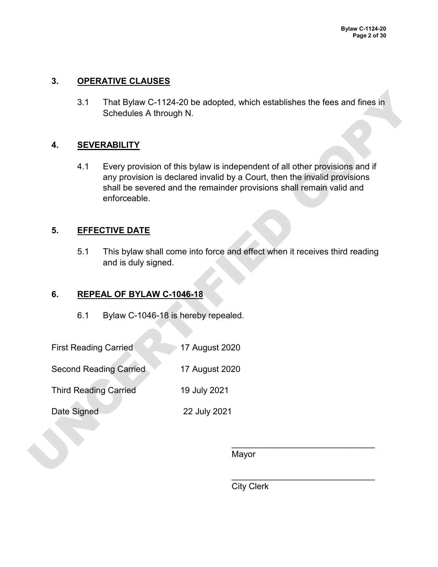### **3. OPERATIVE CLAUSES**

3.1 That Bylaw C-1124-20 be adopted, which establishes the fees and fines in Schedules A through N.

### **4. SEVERABILITY**

3.1 That Bylaw C-1124-20 be adopted, which establishes the fees and fines in<br>
Schedules A through N.<br>
4. SEVERABILITY<br>
4.1 Every provision of this bylaw is independent of all other provisions and if<br>
any provision is decla 4.1 Every provision of this bylaw is independent of all other provisions and if any provision is declared invalid by a Court, then the invalid provisions shall be severed and the remainder provisions shall remain valid and enforceable.

### **5. EFFECTIVE DATE**

5.1 This bylaw shall come into force and effect when it receives third reading and is duly signed.

### **6. REPEAL OF BYLAW C-1046-18**

- 6.1 Bylaw C-1046-18 is hereby repealed.
- First Reading Carried 17 August 2020
- Second Reading Carried 17 August 2020
- Third Reading Carried 19 July 2021
- Date Signed 22 July 2021

Mayor

 $\blacksquare$ 

 $\overline{\phantom{a}}$  , and the contract of the contract of the contract of the contract of the contract of the contract of the contract of the contract of the contract of the contract of the contract of the contract of the contrac

City Clerk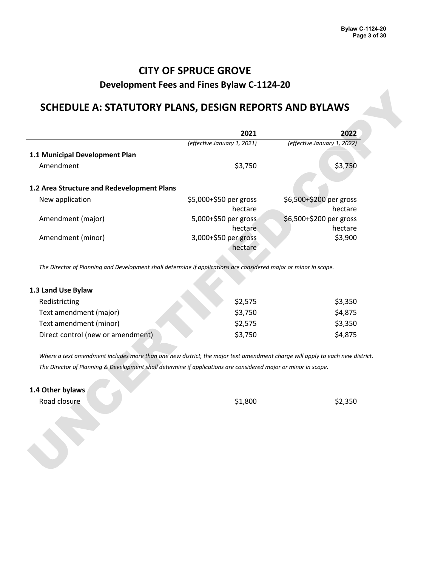## **CITY OF SPRUCE GROVE**

### **Development Fees and Fines Bylaw C-1124-20**

### **SCHEDULE A: STATUTORY PLANS, DESIGN REPORTS AND BYLAWS**

| (effective January 1, 2022)<br>(effective January 1, 2021)<br>\$3,750<br>\$3,750<br>1.2 Area Structure and Redevelopment Plans<br>\$6,500+\$200 per gross<br>\$5,000+\$50 per gross<br>hectare<br>hectare<br>\$6,500+\$200 per gross<br>5,000+\$50 per gross<br>hectare<br>hectare<br>3,000+\$50 per gross<br>\$3,900<br>hectare<br>The Director of Planning and Development shall determine if applications are considered major or minor in scope.<br>1.3 Land Use Bylaw<br>\$2,575<br>\$3,350<br>Redistricting<br>\$3,750<br>\$4,875<br>Text amendment (major)<br>\$2,575<br>\$3,350<br>\$3,750<br>\$4,875<br>Where a text amendment includes more than one new district, the major text amendment charge will apply to each new district.<br>The Director of Planning & Development shall determine if applications are considered major or minor in scope.<br>\$2,350<br>\$1,800 |                                   | 2021 | 2022 |
|---------------------------------------------------------------------------------------------------------------------------------------------------------------------------------------------------------------------------------------------------------------------------------------------------------------------------------------------------------------------------------------------------------------------------------------------------------------------------------------------------------------------------------------------------------------------------------------------------------------------------------------------------------------------------------------------------------------------------------------------------------------------------------------------------------------------------------------------------------------------------------------|-----------------------------------|------|------|
|                                                                                                                                                                                                                                                                                                                                                                                                                                                                                                                                                                                                                                                                                                                                                                                                                                                                                       |                                   |      |      |
|                                                                                                                                                                                                                                                                                                                                                                                                                                                                                                                                                                                                                                                                                                                                                                                                                                                                                       | 1.1 Municipal Development Plan    |      |      |
|                                                                                                                                                                                                                                                                                                                                                                                                                                                                                                                                                                                                                                                                                                                                                                                                                                                                                       | Amendment                         |      |      |
|                                                                                                                                                                                                                                                                                                                                                                                                                                                                                                                                                                                                                                                                                                                                                                                                                                                                                       |                                   |      |      |
|                                                                                                                                                                                                                                                                                                                                                                                                                                                                                                                                                                                                                                                                                                                                                                                                                                                                                       | New application                   |      |      |
|                                                                                                                                                                                                                                                                                                                                                                                                                                                                                                                                                                                                                                                                                                                                                                                                                                                                                       | Amendment (major)                 |      |      |
|                                                                                                                                                                                                                                                                                                                                                                                                                                                                                                                                                                                                                                                                                                                                                                                                                                                                                       | Amendment (minor)                 |      |      |
|                                                                                                                                                                                                                                                                                                                                                                                                                                                                                                                                                                                                                                                                                                                                                                                                                                                                                       |                                   |      |      |
|                                                                                                                                                                                                                                                                                                                                                                                                                                                                                                                                                                                                                                                                                                                                                                                                                                                                                       |                                   |      |      |
|                                                                                                                                                                                                                                                                                                                                                                                                                                                                                                                                                                                                                                                                                                                                                                                                                                                                                       |                                   |      |      |
|                                                                                                                                                                                                                                                                                                                                                                                                                                                                                                                                                                                                                                                                                                                                                                                                                                                                                       |                                   |      |      |
|                                                                                                                                                                                                                                                                                                                                                                                                                                                                                                                                                                                                                                                                                                                                                                                                                                                                                       | Text amendment (minor)            |      |      |
|                                                                                                                                                                                                                                                                                                                                                                                                                                                                                                                                                                                                                                                                                                                                                                                                                                                                                       | Direct control (new or amendment) |      |      |
|                                                                                                                                                                                                                                                                                                                                                                                                                                                                                                                                                                                                                                                                                                                                                                                                                                                                                       |                                   |      |      |
|                                                                                                                                                                                                                                                                                                                                                                                                                                                                                                                                                                                                                                                                                                                                                                                                                                                                                       |                                   |      |      |
|                                                                                                                                                                                                                                                                                                                                                                                                                                                                                                                                                                                                                                                                                                                                                                                                                                                                                       | 1.4 Other bylaws                  |      |      |
|                                                                                                                                                                                                                                                                                                                                                                                                                                                                                                                                                                                                                                                                                                                                                                                                                                                                                       | Road closure                      |      |      |
|                                                                                                                                                                                                                                                                                                                                                                                                                                                                                                                                                                                                                                                                                                                                                                                                                                                                                       |                                   |      |      |
|                                                                                                                                                                                                                                                                                                                                                                                                                                                                                                                                                                                                                                                                                                                                                                                                                                                                                       |                                   |      |      |

| 1.3 Land Use Bylaw                |         |         |
|-----------------------------------|---------|---------|
| Redistricting                     | \$2,575 | \$3,350 |
| Text amendment (major)            | \$3,750 | \$4,875 |
| Text amendment (minor)            | \$2,575 | \$3,350 |
| Direct control (new or amendment) | \$3,750 | \$4,875 |

#### **1.4 Other bylaws**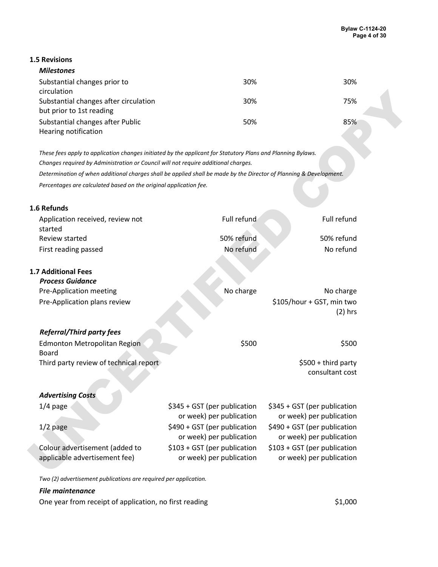#### **1.5 Revisions**

| <b>Milestones</b>                     |     |     |
|---------------------------------------|-----|-----|
| Substantial changes prior to          | 30% | 30% |
| circulation                           |     |     |
| Substantial changes after circulation | 30% | 75% |
| but prior to 1st reading              |     |     |
| Substantial changes after Public      | 50% | 85% |
| Hearing notification                  |     |     |

#### **1.6 Refunds**

| Substantial changes after circulation<br>but prior to 1st reading                                                  |                              |                              |  |
|--------------------------------------------------------------------------------------------------------------------|------------------------------|------------------------------|--|
|                                                                                                                    | 30%                          | 75%                          |  |
|                                                                                                                    |                              |                              |  |
| Substantial changes after Public                                                                                   | 50%                          | 85%                          |  |
| Hearing notification                                                                                               |                              |                              |  |
| These fees apply to application changes initiated by the applicant for Statutory Plans and Planning Bylaws.        |                              |                              |  |
| Changes required by Administration or Council will not require additional charges.                                 |                              |                              |  |
| Determination of when additional charges shall be applied shall be made by the Director of Planning & Development. |                              |                              |  |
| Percentages are calculated based on the original application fee.                                                  |                              |                              |  |
|                                                                                                                    |                              |                              |  |
| 1.6 Refunds                                                                                                        |                              |                              |  |
| Application received, review not                                                                                   | Full refund                  | Full refund                  |  |
| started                                                                                                            |                              |                              |  |
| Review started                                                                                                     | 50% refund                   | 50% refund                   |  |
| First reading passed                                                                                               | No refund                    | No refund                    |  |
|                                                                                                                    |                              |                              |  |
| <b>1.7 Additional Fees</b>                                                                                         |                              |                              |  |
| <b>Process Guidance</b>                                                                                            |                              |                              |  |
| Pre-Application meeting                                                                                            | No charge                    | No charge                    |  |
| Pre-Application plans review                                                                                       |                              | \$105/hour + GST, min two    |  |
|                                                                                                                    |                              | $(2)$ hrs                    |  |
| <b>Referral/Third party fees</b>                                                                                   |                              |                              |  |
| <b>Edmonton Metropolitan Region</b>                                                                                | \$500                        | \$500                        |  |
| Board                                                                                                              |                              |                              |  |
| Third party review of technical report                                                                             |                              | \$500 + third party          |  |
|                                                                                                                    |                              | consultant cost              |  |
|                                                                                                                    |                              |                              |  |
| <b>Advertising Costs</b>                                                                                           |                              |                              |  |
|                                                                                                                    | \$345 + GST (per publication | \$345 + GST (per publication |  |
|                                                                                                                    |                              |                              |  |
| $1/4$ page                                                                                                         | or week) per publication     | or week) per publication     |  |
| $1/2$ page                                                                                                         | \$490 + GST (per publication | \$490 + GST (per publication |  |
|                                                                                                                    | or week) per publication     | or week) per publication     |  |
| Colour advertisement (added to                                                                                     | \$103 + GST (per publication | \$103 + GST (per publication |  |
| applicable advertisement fee)                                                                                      | or week) per publication     | or week) per publication     |  |

*Two (2) advertisement publications are required per application.*

#### *File maintenance*

One year from receipt of application, no first reading  $$1,000$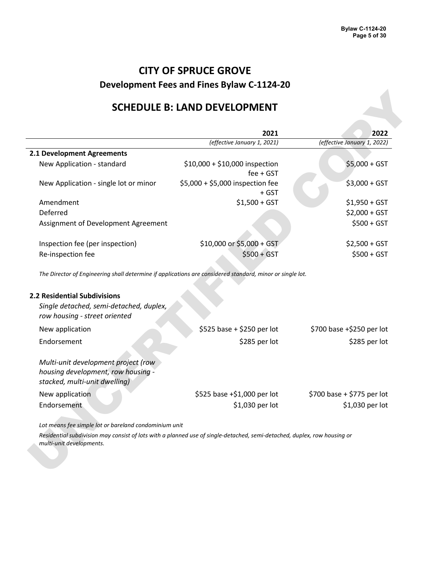## **SCHEDULE B: LAND DEVELOPMENT**

|                                                                          | 2021                                          | 2022                        |
|--------------------------------------------------------------------------|-----------------------------------------------|-----------------------------|
|                                                                          | (effective January 1, 2021)                   | (effective January 1, 2022) |
| 2.1 Development Agreements                                               |                                               |                             |
| New Application - standard                                               | \$10,000 + \$10,000 inspection<br>$fee + GST$ | $$5,000 + GST$              |
| New Application - single lot or minor                                    | \$5,000 + \$5,000 inspection fee<br>$+$ GST   | $$3,000 + GST$              |
| Amendment                                                                | $$1,500 + GST$                                | $$1,950 + GST$              |
| Deferred                                                                 |                                               | $$2,000 + GST$              |
| Assignment of Development Agreement                                      |                                               | $$500 + GST$                |
| Inspection fee (per inspection)                                          | \$10,000 or \$5,000 + GST                     | $$2,500 + GST$              |
| Re-inspection fee                                                        | $$500 + GST$                                  | $$500 + GST$                |
| Single detached, semi-detached, duplex,<br>row housing - street oriented |                                               |                             |
| New application                                                          | \$525 base + \$250 per lot                    | \$700 base +\$250 per lot   |
| Endorsement                                                              | \$285 per lot                                 | \$285 per lot               |
| Multi-unit development project (row                                      |                                               |                             |
| housing development, row housing -<br>stacked, multi-unit dwelling)      |                                               |                             |
| New application                                                          | \$525 base +\$1,000 per lot                   | \$700 base + \$775 per lot  |
| Endorsement                                                              | \$1,030 per lot                               | \$1,030 per lot             |
| Lot means fee simple lot or bareland condominium unit                    |                                               |                             |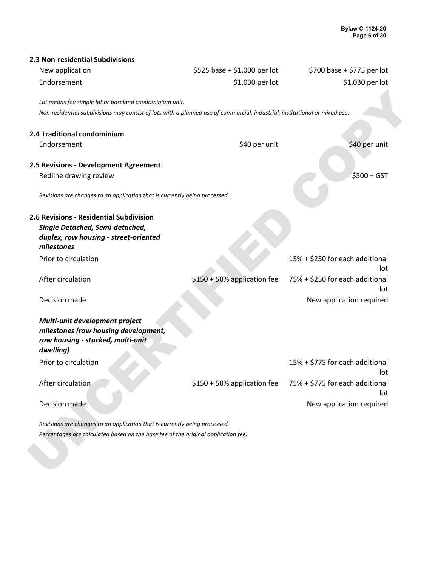| New application                                                                                                            | \$525 base + \$1,000 per lot | \$700 base + \$775 per lot             |
|----------------------------------------------------------------------------------------------------------------------------|------------------------------|----------------------------------------|
| Endorsement                                                                                                                | \$1,030 per lot              | \$1,030 per lot                        |
| Lot means fee simple lot or bareland condominium unit.                                                                     |                              |                                        |
| Non-residential subdivisions may consist of lots with a planned use of commercial, industrial, institutional or mixed use. |                              |                                        |
|                                                                                                                            |                              |                                        |
| 2.4 Traditional condominium                                                                                                |                              |                                        |
| Endorsement                                                                                                                | \$40 per unit                | \$40 per unit                          |
|                                                                                                                            |                              |                                        |
| 2.5 Revisions - Development Agreement                                                                                      |                              | $$500 + GST$                           |
| Redline drawing review                                                                                                     |                              |                                        |
| Revisions are changes to an application that is currently being processed.                                                 |                              |                                        |
| 2.6 Revisions - Residential Subdivision                                                                                    |                              |                                        |
| Single Detached, Semi-detached,                                                                                            |                              |                                        |
| duplex, row housing - street-oriented<br>milestones                                                                        |                              |                                        |
| Prior to circulation                                                                                                       |                              | 15% + \$250 for each additional<br>lot |
| After circulation                                                                                                          | \$150 + 50% application fee  | 75% + \$250 for each additional<br>lot |
| Decision made                                                                                                              |                              | New application required               |
| Multi-unit development project<br>milestones (row housing development,<br>row housing - stacked, multi-unit<br>dwelling)   |                              |                                        |
| Prior to circulation                                                                                                       |                              | 15% + \$775 for each additional<br>lot |
| After circulation                                                                                                          | \$150 + 50% application fee  | 75% + \$775 for each additional<br>lot |
| Decision made                                                                                                              |                              | New application required               |
|                                                                                                                            |                              |                                        |
| Revisions are changes to an application that is currently being processed.                                                 |                              |                                        |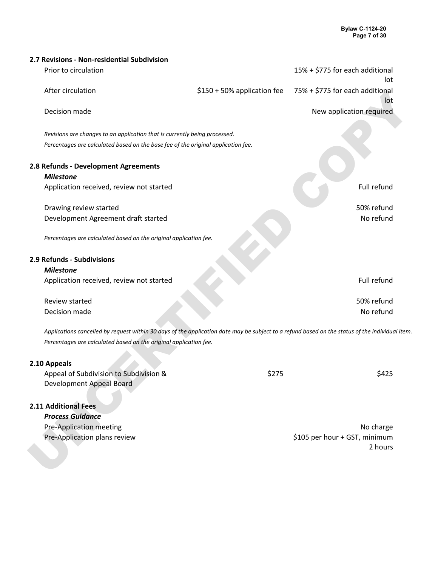| 2.7 Revisions - Non-residential Subdivision                                                                                                     |                             |                                        |  |
|-------------------------------------------------------------------------------------------------------------------------------------------------|-----------------------------|----------------------------------------|--|
| Prior to circulation                                                                                                                            |                             | 15% + \$775 for each additional<br>lot |  |
| After circulation                                                                                                                               | \$150 + 50% application fee | 75% + \$775 for each additional<br>lot |  |
| Decision made                                                                                                                                   |                             | New application required               |  |
|                                                                                                                                                 |                             |                                        |  |
| Revisions are changes to an application that is currently being processed.                                                                      |                             |                                        |  |
| Percentages are calculated based on the base fee of the original application fee.                                                               |                             |                                        |  |
|                                                                                                                                                 |                             |                                        |  |
| 2.8 Refunds - Development Agreements                                                                                                            |                             |                                        |  |
| <b>Milestone</b>                                                                                                                                |                             |                                        |  |
| Application received, review not started                                                                                                        |                             | Full refund                            |  |
|                                                                                                                                                 |                             |                                        |  |
| Drawing review started                                                                                                                          |                             | 50% refund                             |  |
| Development Agreement draft started                                                                                                             |                             | No refund                              |  |
|                                                                                                                                                 |                             |                                        |  |
| Percentages are calculated based on the original application fee.                                                                               |                             |                                        |  |
|                                                                                                                                                 |                             |                                        |  |
| 2.9 Refunds - Subdivisions                                                                                                                      |                             |                                        |  |
| <b>Milestone</b>                                                                                                                                |                             |                                        |  |
| Application received, review not started                                                                                                        |                             | Full refund                            |  |
| Review started                                                                                                                                  |                             | 50% refund                             |  |
| Decision made                                                                                                                                   |                             | No refund                              |  |
|                                                                                                                                                 |                             |                                        |  |
| Applications cancelled by request within 30 days of the application date may be subject to a refund based on the status of the individual item. |                             |                                        |  |
| Percentages are calculated based on the original application fee.                                                                               |                             |                                        |  |
|                                                                                                                                                 |                             |                                        |  |
| 2.10 Appeals                                                                                                                                    |                             |                                        |  |
| Appeal of Subdivision to Subdivision &                                                                                                          | \$275                       | \$425                                  |  |
| Development Appeal Board                                                                                                                        |                             |                                        |  |
|                                                                                                                                                 |                             |                                        |  |
| 2.11 Additional Fees                                                                                                                            |                             |                                        |  |
| <b>Process Guidance</b>                                                                                                                         |                             |                                        |  |
| Pre-Application meeting                                                                                                                         |                             | No charge                              |  |
| Pre-Application plans review                                                                                                                    |                             | \$105 per hour + GST, minimum          |  |
|                                                                                                                                                 |                             | 2 hours                                |  |
|                                                                                                                                                 |                             |                                        |  |
|                                                                                                                                                 |                             |                                        |  |

### **2.10 Appeals**

| Appeal of Subdivision to Subdivision & | \$275 | \$425 |
|----------------------------------------|-------|-------|
| Development Appeal Board               |       |       |

### **2.11 Additional Fees**

| <b>Process Guidance</b>      |                               |
|------------------------------|-------------------------------|
| Pre-Application meeting      | No charge                     |
| Pre-Application plans review | \$105 per hour + GST, minimum |
|                              | 2 hours                       |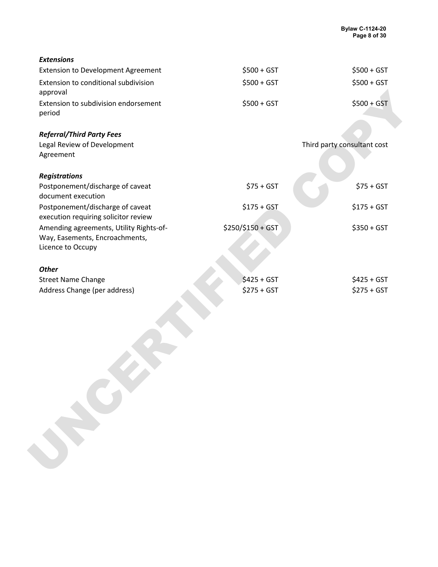| <b>Extensions</b>                                                                              |                   |                             |
|------------------------------------------------------------------------------------------------|-------------------|-----------------------------|
| <b>Extension to Development Agreement</b>                                                      | $$500 + GST$      | $$500 + GST$                |
| Extension to conditional subdivision<br>approval                                               | $$500 + GST$      | $$500 + GST$                |
| Extension to subdivision endorsement<br>period                                                 | $$500 + GST$      | $$500 + GST$                |
| <b>Referral/Third Party Fees</b>                                                               |                   |                             |
| Legal Review of Development<br>Agreement                                                       |                   | Third party consultant cost |
| <b>Registrations</b>                                                                           |                   |                             |
| Postponement/discharge of caveat<br>document execution                                         | $$75 + GST$       | $$75 + GST$                 |
| Postponement/discharge of caveat<br>execution requiring solicitor review                       | $$175 + GST$      | $$175 + GST$                |
| Amending agreements, Utility Rights-of-<br>Way, Easements, Encroachments,<br>Licence to Occupy | \$250/\$150 + GST | $$350 + GST$                |
| <b>Other</b>                                                                                   |                   |                             |
| <b>Street Name Change</b>                                                                      | $$425 + GST$      | $$425 + GST$                |
| Address Change (per address)                                                                   | $$275 + GST$      | $$275 + GST$                |
|                                                                                                |                   |                             |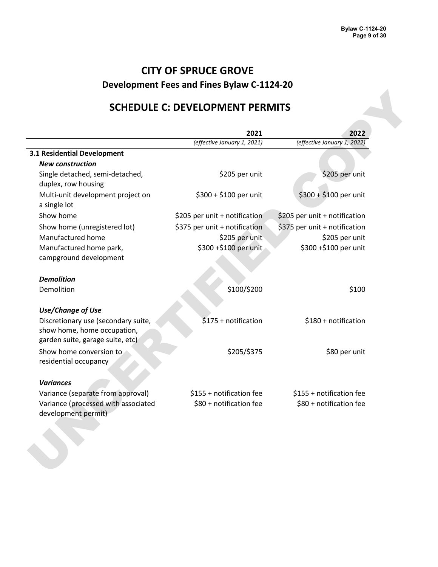## **SCHEDULE C: DEVELOPMENT PERMITS**

|                                                                                                        | 2021                          | 2022                          |
|--------------------------------------------------------------------------------------------------------|-------------------------------|-------------------------------|
|                                                                                                        | (effective January 1, 2021)   | (effective January 1, 2022)   |
| <b>3.1 Residential Development</b>                                                                     |                               |                               |
| <b>New construction</b>                                                                                |                               |                               |
| Single detached, semi-detached,<br>duplex, row housing                                                 | \$205 per unit                | \$205 per unit                |
| Multi-unit development project on<br>a single lot                                                      | \$300 + \$100 per unit        | \$300 + \$100 per unit        |
| Show home                                                                                              | \$205 per unit + notification | \$205 per unit + notification |
| Show home (unregistered lot)                                                                           | \$375 per unit + notification | \$375 per unit + notification |
| Manufactured home                                                                                      | \$205 per unit                | \$205 per unit                |
| Manufactured home park,<br>campground development                                                      | \$300 +\$100 per unit         | \$300 +\$100 per unit         |
| <b>Demolition</b>                                                                                      |                               |                               |
| Demolition                                                                                             | \$100/\$200                   | \$100                         |
| <b>Use/Change of Use</b>                                                                               |                               |                               |
| Discretionary use (secondary suite,<br>show home, home occupation,<br>garden suite, garage suite, etc) | \$175 + notification          | \$180 + notification          |
| Show home conversion to<br>residential occupancy                                                       | \$205/\$375                   | \$80 per unit                 |
| <b>Variances</b>                                                                                       |                               |                               |
| Variance (separate from approval)                                                                      | \$155 + notification fee      | \$155 + notification fee      |
| Variance (processed with associated<br>development permit)                                             | \$80 + notification fee       | \$80 + notification fee       |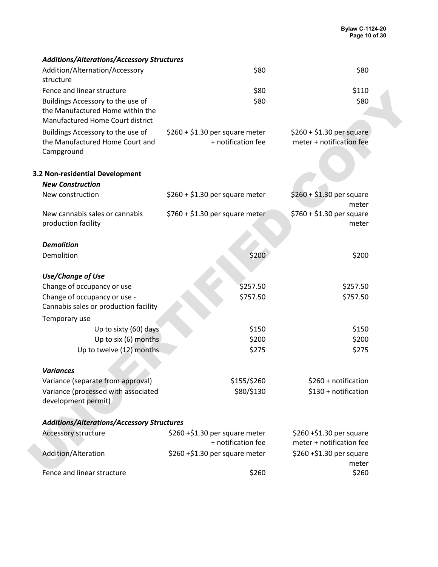| Additions/Alterations/Accessory Structures                                                                |                                                       |                                                       |  |
|-----------------------------------------------------------------------------------------------------------|-------------------------------------------------------|-------------------------------------------------------|--|
| Addition/Alternation/Accessory<br>structure                                                               | \$80                                                  | \$80                                                  |  |
| Fence and linear structure                                                                                | \$80                                                  | \$110                                                 |  |
| Buildings Accessory to the use of<br>the Manufactured Home within the<br>Manufactured Home Court district | \$80                                                  | \$80                                                  |  |
| Buildings Accessory to the use of<br>the Manufactured Home Court and<br>Campground                        | $$260 + $1.30$ per square meter<br>+ notification fee | $$260 + $1.30$ per square<br>meter + notification fee |  |
| 3.2 Non-residential Development                                                                           |                                                       |                                                       |  |
| <b>New Construction</b>                                                                                   |                                                       |                                                       |  |
| New construction                                                                                          | $$260 + $1.30$ per square meter                       | $$260 + $1.30$ per square<br>meter                    |  |
| New cannabis sales or cannabis<br>production facility                                                     | $$760 + $1.30$ per square meter                       | $$760 + $1.30$ per square<br>meter                    |  |
| <b>Demolition</b>                                                                                         |                                                       |                                                       |  |
| Demolition                                                                                                | \$200                                                 | \$200                                                 |  |
| <b>Use/Change of Use</b>                                                                                  |                                                       |                                                       |  |
| Change of occupancy or use                                                                                | \$257.50                                              | \$257.50                                              |  |
| Change of occupancy or use -                                                                              | \$757.50                                              | \$757.50                                              |  |
| Cannabis sales or production facility                                                                     |                                                       |                                                       |  |
| Temporary use                                                                                             |                                                       |                                                       |  |
| Up to sixty (60) days                                                                                     | \$150                                                 | \$150                                                 |  |
| Up to six (6) months                                                                                      | \$200                                                 | \$200                                                 |  |
| Up to twelve (12) months                                                                                  | \$275                                                 | \$275                                                 |  |
| <b>Variances</b>                                                                                          |                                                       |                                                       |  |
| Variance (separate from approval)                                                                         | \$155/\$260                                           | \$260 + notification                                  |  |
| Variance (processed with associated                                                                       | \$80/\$130                                            | \$130 + notification                                  |  |
| development permit)                                                                                       |                                                       |                                                       |  |
| <b>Additions/Alterations/Accessory Structures</b>                                                         |                                                       |                                                       |  |
| <b>Accessory structure</b>                                                                                | \$260+\$1.30 per square meter<br>+ notification fee   | \$260 +\$1.30 per square<br>meter + notification fee  |  |
| Addition/Alteration                                                                                       | $$260 + $1.30$ per square meter                       | \$260 +\$1.30 per square<br>meter                     |  |
| Fence and linear structure                                                                                | \$260                                                 | \$260                                                 |  |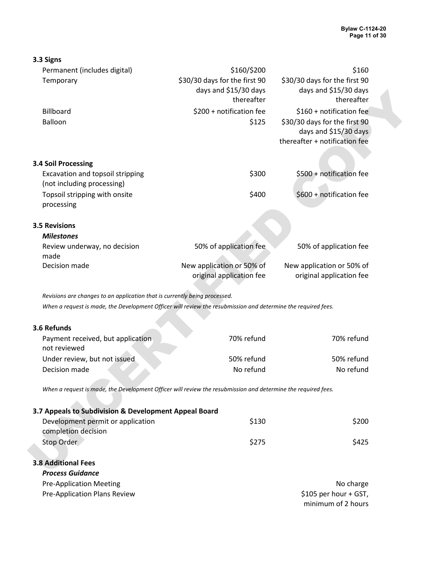| 3.3 Signs                                                                                                     |                               |                                                        |  |
|---------------------------------------------------------------------------------------------------------------|-------------------------------|--------------------------------------------------------|--|
| Permanent (includes digital)                                                                                  | \$160/\$200                   | \$160                                                  |  |
| Temporary                                                                                                     | \$30/30 days for the first 90 | \$30/30 days for the first 90                          |  |
|                                                                                                               | days and \$15/30 days         | days and \$15/30 days                                  |  |
|                                                                                                               | thereafter                    | thereafter                                             |  |
| Billboard                                                                                                     | \$200 + notification fee      | \$160 + notification fee                               |  |
| Balloon                                                                                                       | \$125                         | \$30/30 days for the first 90                          |  |
|                                                                                                               |                               | days and \$15/30 days<br>thereafter + notification fee |  |
|                                                                                                               |                               |                                                        |  |
| <b>3.4 Soil Processing</b>                                                                                    |                               |                                                        |  |
| Excavation and topsoil stripping                                                                              | \$300                         | \$500 + notification fee                               |  |
| (not including processing)                                                                                    |                               |                                                        |  |
| Topsoil stripping with onsite                                                                                 | \$400                         | \$600 + notification fee                               |  |
| processing                                                                                                    |                               |                                                        |  |
|                                                                                                               |                               |                                                        |  |
| <b>3.5 Revisions</b>                                                                                          |                               |                                                        |  |
| <b>Milestones</b>                                                                                             |                               |                                                        |  |
| Review underway, no decision                                                                                  | 50% of application fee        | 50% of application fee                                 |  |
| made<br>Decision made                                                                                         | New application or 50% of     | New application or 50% of                              |  |
|                                                                                                               | original application fee      | original application fee                               |  |
|                                                                                                               |                               |                                                        |  |
| Revisions are changes to an application that is currently being processed.                                    |                               |                                                        |  |
| When a request is made, the Development Officer will review the resubmission and determine the required fees. |                               |                                                        |  |
|                                                                                                               |                               |                                                        |  |
| 3.6 Refunds                                                                                                   |                               |                                                        |  |
| Payment received, but application                                                                             | 70% refund                    | 70% refund                                             |  |
| not reviewed                                                                                                  |                               |                                                        |  |
| Under review, but not issued                                                                                  | 50% refund                    | 50% refund                                             |  |
| Decision made                                                                                                 | No refund                     | No refund                                              |  |
| When a request is made, the Development Officer will review the resubmission and determine the required fees. |                               |                                                        |  |
|                                                                                                               |                               |                                                        |  |
| 3.7 Appeals to Subdivision & Development Appeal Board                                                         |                               |                                                        |  |
| Development permit or application                                                                             | \$130                         | \$200                                                  |  |
| completion decision                                                                                           |                               |                                                        |  |
| Stop Order                                                                                                    | \$275                         | \$425                                                  |  |
|                                                                                                               |                               |                                                        |  |
| <b>3.8 Additional Fees</b>                                                                                    |                               |                                                        |  |
| <b>Process Guidance</b>                                                                                       |                               |                                                        |  |
| <b>Pre-Application Meeting</b>                                                                                |                               | No charge                                              |  |
| Pre-Application Plans Review                                                                                  |                               | \$105 per hour + GST,                                  |  |

minimum of 2 hours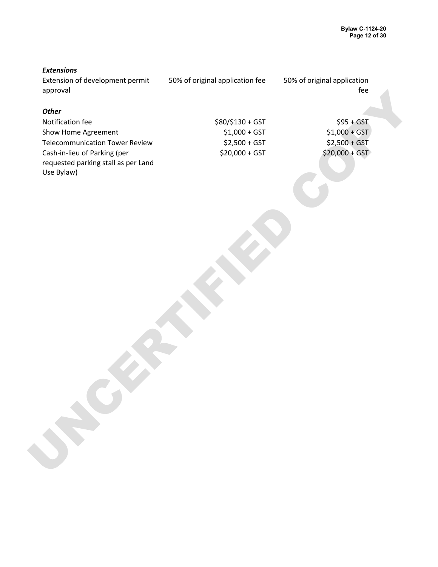#### *Extensions*

Extension of development permit approval 50% of original application fee 50% of original application fee

#### *Other*

spproval<br>
Multilitation fee<br>
Show known Agreement<br>
Show known Agreement<br>
Constitution of David Fleview<br>
Constrained participate all as per Land<br>
Use Bylawy<br>
Use Bylawy<br>
Use Bylawy<br>
The Copy Copy of the Copy of the Copy of Notification fee \$80/\$130 + GST \$95 + GST Show Home Agreement \$1,000 + GST Telecommunication Tower Review \$2,500 + GST \$2,500 + GST \$2,500 + GST Cash-in-lieu of Parking (per requested parking stall as per Land Use Bylaw)

 $$20,000 + GST$   $$20,000 + GST$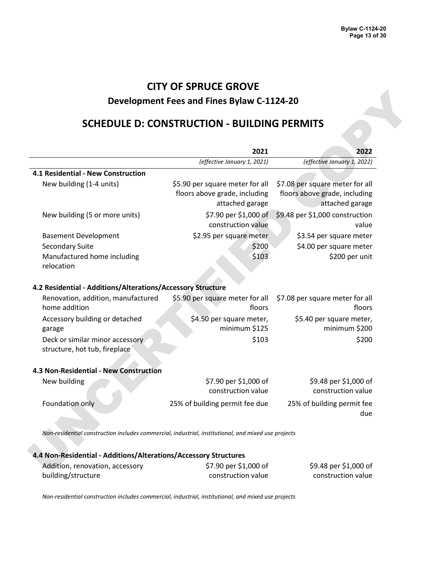## **SCHEDULE D: CONSTRUCTION - BUILDING PERMITS**

| 2021<br>(effective January 1, 2021)<br>\$5.90 per square meter for all<br>floors above grade, including<br>attached garage<br>\$7.90 per \$1,000 of<br>construction value<br>\$2.95 per square meter<br>\$200<br>\$103<br>4.2 Residential - Additions/Alterations/Accessory Structure<br>\$5.90 per square meter for all | 2022<br>(effective January 1, 2022)<br>\$7.08 per square meter for all<br>floors above grade, including<br>attached garage<br>\$9.48 per \$1,000 construction<br>value<br>\$3.54 per square meter<br>\$4.00 per square meter<br>\$200 per unit |
|--------------------------------------------------------------------------------------------------------------------------------------------------------------------------------------------------------------------------------------------------------------------------------------------------------------------------|------------------------------------------------------------------------------------------------------------------------------------------------------------------------------------------------------------------------------------------------|
|                                                                                                                                                                                                                                                                                                                          |                                                                                                                                                                                                                                                |
|                                                                                                                                                                                                                                                                                                                          |                                                                                                                                                                                                                                                |
|                                                                                                                                                                                                                                                                                                                          |                                                                                                                                                                                                                                                |
|                                                                                                                                                                                                                                                                                                                          |                                                                                                                                                                                                                                                |
|                                                                                                                                                                                                                                                                                                                          |                                                                                                                                                                                                                                                |
|                                                                                                                                                                                                                                                                                                                          |                                                                                                                                                                                                                                                |
|                                                                                                                                                                                                                                                                                                                          |                                                                                                                                                                                                                                                |
| floors                                                                                                                                                                                                                                                                                                                   | \$7.08 per square meter for all<br>floors                                                                                                                                                                                                      |
| \$4.50 per square meter,<br>minimum \$125                                                                                                                                                                                                                                                                                | \$5.40 per square meter,<br>minimum \$200                                                                                                                                                                                                      |
| \$103                                                                                                                                                                                                                                                                                                                    | \$200                                                                                                                                                                                                                                          |
|                                                                                                                                                                                                                                                                                                                          |                                                                                                                                                                                                                                                |
| \$7.90 per \$1,000 of<br>construction value                                                                                                                                                                                                                                                                              | \$9.48 per \$1,000 of<br>construction value                                                                                                                                                                                                    |
| 25% of building permit fee due                                                                                                                                                                                                                                                                                           | 25% of building permit fee<br>due                                                                                                                                                                                                              |
|                                                                                                                                                                                                                                                                                                                          |                                                                                                                                                                                                                                                |
|                                                                                                                                                                                                                                                                                                                          | Non-residential construction includes commercial, industrial, institutional, and mixed use projects<br>4.4 Non-Residential - Additions/Alterations/Accessory Structures<br>\$7.90 per \$1,000 of                                               |

| 4.4 Non-Residential - Additions/Alterations/Accessory Structures |                       |                   |
|------------------------------------------------------------------|-----------------------|-------------------|
| Addition, renovation, accessory                                  | \$7.90 per \$1,000 of | \$9.48            |
| building/structure                                               | construction value    | cons <sup>-</sup> |

per \$1,000 of construction value

*Non-residential construction includes commercial, industrial, institutional, and mixed use projects*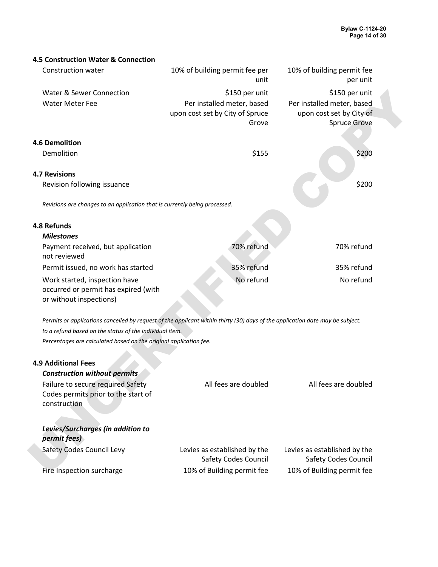| 4.5 Construction Water & Connection                                                                                           |                                                                        |                                                                        |  |
|-------------------------------------------------------------------------------------------------------------------------------|------------------------------------------------------------------------|------------------------------------------------------------------------|--|
| <b>Construction water</b>                                                                                                     | 10% of building permit fee per<br>unit                                 | 10% of building permit fee<br>per unit                                 |  |
| <b>Water &amp; Sewer Connection</b>                                                                                           | \$150 per unit                                                         | \$150 per unit                                                         |  |
| <b>Water Meter Fee</b>                                                                                                        | Per installed meter, based<br>upon cost set by City of Spruce<br>Grove | Per installed meter, based<br>upon cost set by City of<br>Spruce Grove |  |
| <b>4.6 Demolition</b>                                                                                                         |                                                                        |                                                                        |  |
| Demolition                                                                                                                    | \$155                                                                  | \$200                                                                  |  |
| <b>4.7 Revisions</b>                                                                                                          |                                                                        |                                                                        |  |
| Revision following issuance                                                                                                   |                                                                        | \$200                                                                  |  |
| Revisions are changes to an application that is currently being processed.                                                    |                                                                        |                                                                        |  |
| 4.8 Refunds                                                                                                                   |                                                                        |                                                                        |  |
| <b>Milestones</b>                                                                                                             |                                                                        |                                                                        |  |
| Payment received, but application<br>not reviewed                                                                             | 70% refund                                                             | 70% refund                                                             |  |
| Permit issued, no work has started                                                                                            | 35% refund                                                             | 35% refund                                                             |  |
| Work started, inspection have<br>occurred or permit has expired (with<br>or without inspections)                              | No refund                                                              | No refund                                                              |  |
| Permits or applications cancelled by request of the applicant within thirty (30) days of the application date may be subject. |                                                                        |                                                                        |  |
| to a refund based on the status of the individual item.                                                                       |                                                                        |                                                                        |  |
| Percentages are calculated based on the original application fee.                                                             |                                                                        |                                                                        |  |
| <b>4.9 Additional Fees</b>                                                                                                    |                                                                        |                                                                        |  |
| <b>Construction without permits</b>                                                                                           |                                                                        |                                                                        |  |
| Failure to secure required Safety<br>Codes permits prior to the start of<br>construction                                      | All fees are doubled                                                   | All fees are doubled                                                   |  |
| Levies/Surcharges (in addition to<br>permit fees)                                                                             |                                                                        |                                                                        |  |
| Safety Codes Council Levy                                                                                                     | Levies as established by the<br><b>Safety Codes Council</b>            | Levies as established by the<br>Safety Codes Council                   |  |
| Fire Inspection surcharge                                                                                                     | 10% of Building permit fee                                             | 10% of Building permit fee                                             |  |

| <b>4.9 Additional Fees</b><br><b>Construction without permits</b>                        |                                                             |                                                             |
|------------------------------------------------------------------------------------------|-------------------------------------------------------------|-------------------------------------------------------------|
| Failure to secure required Safety<br>Codes permits prior to the start of<br>construction | All fees are doubled                                        | All fees are doubled                                        |
| Levies/Surcharges (in addition to<br>permit fees)                                        |                                                             |                                                             |
| <b>Safety Codes Council Levy</b>                                                         | Levies as established by the<br><b>Safety Codes Council</b> | Levies as established by the<br><b>Safety Codes Council</b> |
| Fire Inspection surcharge                                                                | 10% of Building permit fee                                  | 10% of Building permit fee                                  |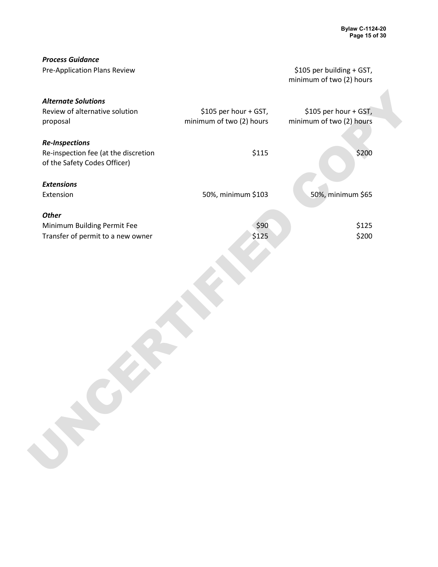| <b>Process Guidance</b>              |                          |                           |  |
|--------------------------------------|--------------------------|---------------------------|--|
| Pre-Application Plans Review         |                          | \$105 per building + GST, |  |
|                                      |                          | minimum of two (2) hours  |  |
|                                      |                          |                           |  |
| <b>Alternate Solutions</b>           |                          |                           |  |
| Review of alternative solution       | \$105 per hour + GST,    | \$105 per hour + GST,     |  |
| proposal                             | minimum of two (2) hours | minimum of two (2) hours  |  |
|                                      |                          |                           |  |
| <b>Re-Inspections</b>                |                          |                           |  |
| Re-inspection fee (at the discretion | \$115                    | \$200                     |  |
| of the Safety Codes Officer)         |                          |                           |  |
|                                      |                          |                           |  |
| <b>Extensions</b>                    |                          |                           |  |
| Extension                            | 50%, minimum \$103       | 50%, minimum \$65         |  |
| <b>Other</b>                         |                          |                           |  |
|                                      | \$90                     | \$125                     |  |
| Minimum Building Permit Fee          |                          | \$200                     |  |
| Transfer of permit to a new owner    | \$125                    |                           |  |
|                                      |                          |                           |  |
|                                      |                          |                           |  |
|                                      |                          |                           |  |
|                                      |                          |                           |  |
|                                      |                          |                           |  |
|                                      |                          |                           |  |
|                                      |                          |                           |  |
|                                      |                          |                           |  |
|                                      |                          |                           |  |
|                                      |                          |                           |  |
|                                      |                          |                           |  |
|                                      |                          |                           |  |
|                                      |                          |                           |  |
|                                      |                          |                           |  |
|                                      |                          |                           |  |
|                                      |                          |                           |  |
|                                      |                          |                           |  |
|                                      |                          |                           |  |
|                                      |                          |                           |  |
|                                      |                          |                           |  |
|                                      |                          |                           |  |
|                                      |                          |                           |  |
|                                      |                          |                           |  |
|                                      |                          |                           |  |
|                                      |                          |                           |  |
|                                      |                          |                           |  |
|                                      |                          |                           |  |
|                                      |                          |                           |  |
|                                      |                          |                           |  |
|                                      |                          |                           |  |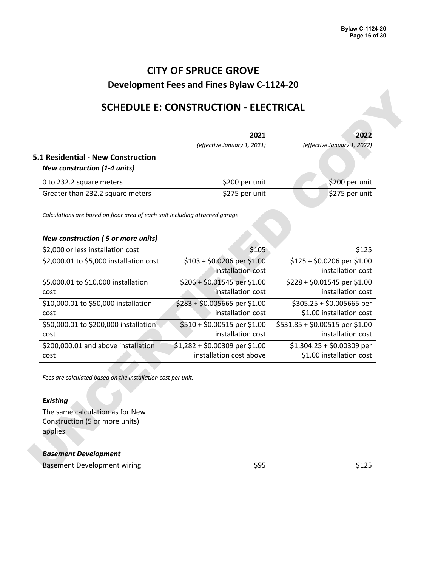## **SCHEDULE E: CONSTRUCTION - ELECTRICAL**

| (effective January 1, 2021)<br>5.1 Residential - New Construction<br><b>New construction (1-4 units)</b> | 2022                        |
|----------------------------------------------------------------------------------------------------------|-----------------------------|
|                                                                                                          | (effective January 1, 2022) |
|                                                                                                          |                             |
| \$200 per unit<br>0 to 232.2 square meters                                                               | \$200 per unit              |
| \$275 per unit<br>Greater than 232.2 square meters                                                       | \$275 per unit              |

#### *New construction ( 5 or more units)*

| (effective January 1, 2022)<br>\$200 per unit<br>\$275 per unit |
|-----------------------------------------------------------------|
|                                                                 |
|                                                                 |
|                                                                 |
|                                                                 |
| \$125                                                           |
| \$125 + \$0.0206 per \$1.00                                     |
| installation cost                                               |
| $$228 + $0.01545$ per \$1.00                                    |
| installation cost                                               |
| $$305.25 + $0.005665$ per                                       |
| \$1.00 installation cost                                        |
| \$531.85 + \$0.00515 per \$1.00<br>installation cost            |
| $$1,304.25 + $0.00309$ per                                      |
| \$1.00 installation cost                                        |
|                                                                 |

#### *Existing*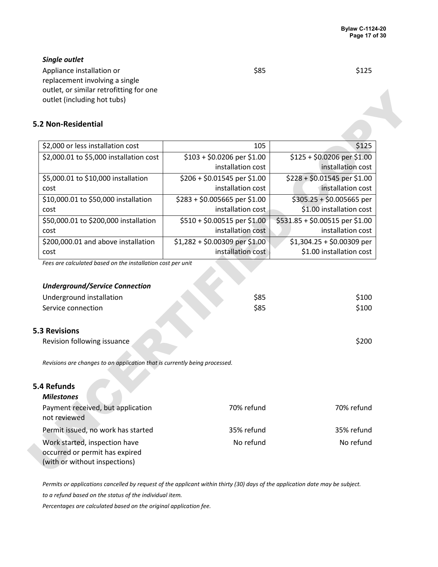#### *Single outlet*

Appliance installation or replacement involving a single outlet, or similar retrofitting for one outlet (including hot tubs)

#### **5.2 Non-Residential**

| outlet (including hot tubs)<br>5.2 Non-Residential<br>\$2,000 or less installation cost<br>\$2,000.01 to \$5,000 installation cost<br>\$5,000.01 to \$10,000 installation | 105<br>\$103 + \$0.0206 per \$1.00 | \$125                           |
|---------------------------------------------------------------------------------------------------------------------------------------------------------------------------|------------------------------------|---------------------------------|
|                                                                                                                                                                           |                                    |                                 |
|                                                                                                                                                                           |                                    |                                 |
|                                                                                                                                                                           |                                    |                                 |
|                                                                                                                                                                           |                                    |                                 |
|                                                                                                                                                                           |                                    | \$125 + \$0.0206 per \$1.00     |
|                                                                                                                                                                           | installation cost                  | installation cost               |
|                                                                                                                                                                           | \$206 + \$0.01545 per \$1.00       | \$228 + \$0.01545 per \$1.00    |
| cost                                                                                                                                                                      | installation cost                  | installation cost               |
| \$10,000.01 to \$50,000 installation                                                                                                                                      | \$283 + \$0.005665 per \$1.00      | $$305.25 + $0.005665$ per       |
| cost                                                                                                                                                                      | installation cost                  | \$1.00 installation cost        |
| \$50,000.01 to \$200,000 installation                                                                                                                                     | \$510 + \$0.00515 per \$1.00       | \$531.85 + \$0.00515 per \$1.00 |
| cost                                                                                                                                                                      | installation cost                  | installation cost               |
| \$200,000.01 and above installation                                                                                                                                       | \$1,282 + \$0.00309 per \$1.00     | $$1,304.25 + $0.00309$ per      |
| cost                                                                                                                                                                      | installation cost                  | \$1.00 installation cost        |
| <b>Underground/Service Connection</b><br>Underground installation                                                                                                         | \$85                               | \$100                           |
| Service connection                                                                                                                                                        | \$85                               | \$100                           |
| <b>5.3 Revisions</b>                                                                                                                                                      |                                    |                                 |
| Revision following issuance                                                                                                                                               |                                    | \$200                           |
| Revisions are changes to an application that is currently being processed.                                                                                                |                                    |                                 |
| 5.4 Refunds                                                                                                                                                               |                                    |                                 |
| <b>Milestones</b>                                                                                                                                                         |                                    |                                 |
| Payment received, but application<br>not reviewed                                                                                                                         | 70% refund                         | 70% refund                      |
|                                                                                                                                                                           | 35% refund                         | 35% refund                      |
| Permit issued, no work has started                                                                                                                                        |                                    |                                 |

#### *Underground/Service Connection*

| Underground installation | \$85 | \$100 |
|--------------------------|------|-------|
| Service connection       | \$85 | \$100 |

#### **5.3 Revisions**

| Revision following issuance |  |  | \$200 |
|-----------------------------|--|--|-------|
|-----------------------------|--|--|-------|

#### **5.4 Refunds**

| <b>Milestones</b>                                                                                |            |            |
|--------------------------------------------------------------------------------------------------|------------|------------|
| Payment received, but application<br>not reviewed                                                | 70% refund | 70% refund |
| Permit issued, no work has started                                                               | 35% refund | 35% refund |
| Work started, inspection have<br>occurred or permit has expired<br>(with or without inspections) | No refund  | No refund  |

*Permits or applications cancelled by request of the applicant within thirty (30) days of the application date may be subject.*

*to a refund based on the status of the individual item.*

*Percentages are calculated based on the original application fee.*

\$85 \$125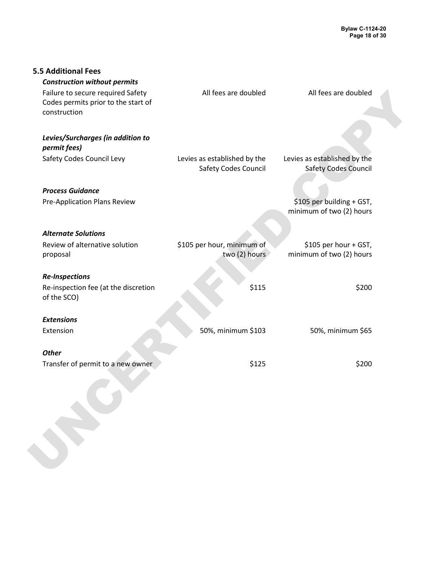| All fees are doubled         | All fees are doubled                                      |                                                                                                               |
|------------------------------|-----------------------------------------------------------|---------------------------------------------------------------------------------------------------------------|
| Levies as established by the | Levies as established by the                              |                                                                                                               |
|                              |                                                           |                                                                                                               |
|                              |                                                           |                                                                                                               |
|                              |                                                           |                                                                                                               |
|                              |                                                           |                                                                                                               |
|                              |                                                           |                                                                                                               |
| two (2) hours                | minimum of two (2) hours                                  |                                                                                                               |
|                              |                                                           |                                                                                                               |
| \$115                        | \$200                                                     |                                                                                                               |
|                              |                                                           |                                                                                                               |
| 50%, minimum \$103           | 50%, minimum \$65                                         |                                                                                                               |
|                              |                                                           |                                                                                                               |
| \$125                        | \$200                                                     |                                                                                                               |
|                              |                                                           |                                                                                                               |
|                              | <b>Safety Codes Council</b><br>\$105 per hour, minimum of | <b>Safety Codes Council</b><br>\$105 per building + GST,<br>minimum of two (2) hours<br>\$105 per hour + GST, |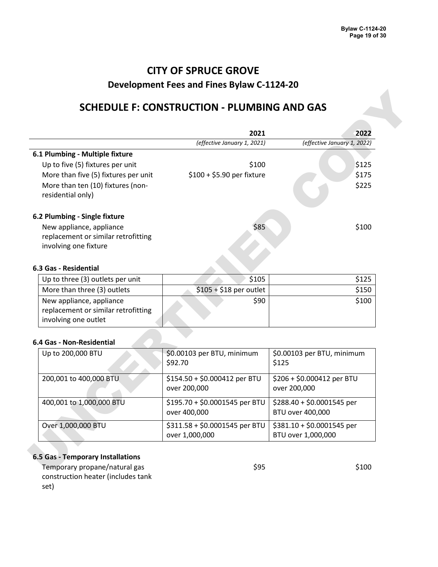### **SCHEDULE F: CONSTRUCTION - PLUMBING AND GAS**

|                                                                                          | 2021                                             | 2022                                             |
|------------------------------------------------------------------------------------------|--------------------------------------------------|--------------------------------------------------|
|                                                                                          | (effective January 1, 2021)                      | (effective January 1, 2022)                      |
| 6.1 Plumbing - Multiple fixture                                                          |                                                  |                                                  |
| Up to five (5) fixtures per unit                                                         | \$100                                            | \$125                                            |
| More than five (5) fixtures per unit                                                     | \$100 + \$5.90 per fixture                       | \$175                                            |
| More than ten (10) fixtures (non-<br>residential only)                                   |                                                  | \$225                                            |
| 6.2 Plumbing - Single fixture                                                            |                                                  |                                                  |
| New appliance, appliance<br>replacement or similar retrofitting<br>involving one fixture | \$85                                             | \$100                                            |
| 6.3 Gas - Residential                                                                    |                                                  |                                                  |
| Up to three (3) outlets per unit                                                         | \$105                                            | \$125                                            |
| More than three (3) outlets                                                              | $$105 + $18$ per outlet                          | \$150                                            |
| New appliance, appliance                                                                 | \$90                                             | \$100                                            |
| replacement or similar retrofitting<br>involving one outlet                              |                                                  |                                                  |
| 6.4 Gas - Non-Residential                                                                |                                                  |                                                  |
| Up to 200,000 BTU                                                                        | \$0.00103 per BTU, minimum<br>\$92.70            | \$0.00103 per BTU, minimum<br>\$125              |
| 200,001 to 400,000 BTU                                                                   | \$154.50 + \$0.000412 per BTU<br>over 200,000    | \$206 + \$0.000412 per BTU<br>over 200,000       |
| 400,001 to 1,000,000 BTU                                                                 | \$195.70 + \$0.0001545 per BTU<br>over 400,000   | \$288.40 + \$0.0001545 per<br>BTU over 400,000   |
| Over 1,000,000 BTU                                                                       | \$311.58 + \$0.0001545 per BTU<br>over 1,000,000 | \$381.10 + \$0.0001545 per<br>BTU over 1,000,000 |

#### **6.3 Gas - Residential**

| Up to three (3) outlets per unit                                                        | \$105                   | \$125 |
|-----------------------------------------------------------------------------------------|-------------------------|-------|
| More than three (3) outlets                                                             | $$105 + $18$ per outlet | \$150 |
| New appliance, appliance<br>replacement or similar retrofitting<br>involving one outlet | \$90                    | \$100 |

#### **6.4 Gas - Non-Residential**

| Up to 200,000 BTU        | \$0.00103 per BTU, minimum<br>\$92.70            | \$0.00103 per BTU, minimum<br>\$125              |
|--------------------------|--------------------------------------------------|--------------------------------------------------|
| 200,001 to 400,000 BTU   | \$154.50 + \$0.000412 per BTU<br>over 200,000    | \$206 + \$0.000412 per BTU<br>over 200,000       |
| 400,001 to 1,000,000 BTU | \$195.70 + \$0.0001545 per BTU<br>over 400,000   | \$288.40 + \$0.0001545 per<br>BTU over 400,000   |
| Over 1,000,000 BTU       | \$311.58 + \$0.0001545 per BTU<br>over 1,000,000 | $$381.10 + $0.0001545$ per<br>BTU over 1,000,000 |

#### **6.5 Gas - Temporary Installations**

Temporary propane/natural gas construction heater (includes tank set)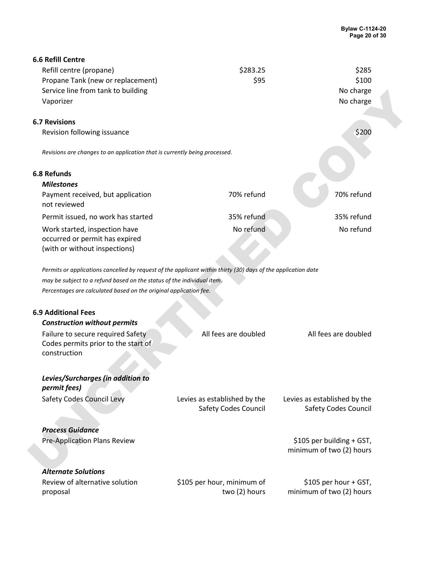| <b>6.6 Refill Centre</b>                                                                                      |                                                             |                                                             |  |
|---------------------------------------------------------------------------------------------------------------|-------------------------------------------------------------|-------------------------------------------------------------|--|
| Refill centre (propane)                                                                                       | \$283.25                                                    | \$285                                                       |  |
| Propane Tank (new or replacement)                                                                             | \$95                                                        | \$100                                                       |  |
| Service line from tank to building                                                                            |                                                             | No charge                                                   |  |
| Vaporizer                                                                                                     |                                                             | No charge                                                   |  |
| <b>6.7 Revisions</b>                                                                                          |                                                             |                                                             |  |
| Revision following issuance                                                                                   |                                                             | \$200                                                       |  |
| Revisions are changes to an application that is currently being processed.                                    |                                                             |                                                             |  |
|                                                                                                               |                                                             |                                                             |  |
| <b>6.8 Refunds</b>                                                                                            |                                                             |                                                             |  |
| <b>Milestones</b>                                                                                             |                                                             |                                                             |  |
| Payment received, but application<br>not reviewed                                                             | 70% refund                                                  | 70% refund                                                  |  |
| Permit issued, no work has started                                                                            | 35% refund                                                  | 35% refund                                                  |  |
| Work started, inspection have<br>occurred or permit has expired<br>(with or without inspections)              | No refund                                                   | No refund                                                   |  |
| Permits or applications cancelled by request of the applicant within thirty (30) days of the application date |                                                             |                                                             |  |
| may be subject to a refund based on the status of the individual item.                                        |                                                             |                                                             |  |
| Percentages are calculated based on the original application fee.                                             |                                                             |                                                             |  |
|                                                                                                               |                                                             |                                                             |  |
| <b>6.9 Additional Fees</b>                                                                                    |                                                             |                                                             |  |
| <b>Construction without permits</b>                                                                           |                                                             |                                                             |  |
| Failure to secure required Safety<br>Codes permits prior to the start of<br>construction                      | All fees are doubled                                        | All fees are doubled                                        |  |
| Levies/Surcharges (in addition to<br>permit fees)                                                             |                                                             |                                                             |  |
| Safety Codes Council Levy                                                                                     | Levies as established by the<br><b>Safety Codes Council</b> | Levies as established by the<br><b>Safety Codes Council</b> |  |
| <b>Process Guidance</b>                                                                                       |                                                             |                                                             |  |
| Pre-Application Plans Review                                                                                  |                                                             | \$105 per building + GST,                                   |  |
|                                                                                                               |                                                             | minimum of two (2) hours                                    |  |
| <b>Alternate Solutions</b>                                                                                    |                                                             |                                                             |  |
| Review of alternative solution<br>proposal                                                                    | \$105 per hour, minimum of<br>two (2) hours                 | \$105 per hour + GST,<br>minimum of two (2) hours           |  |
|                                                                                                               |                                                             |                                                             |  |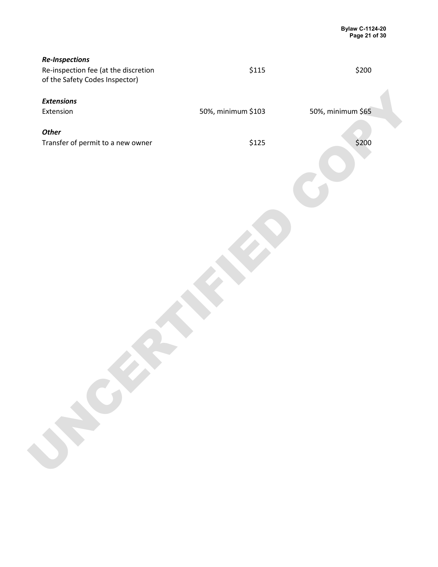| <b>Re-Inspections</b><br>Re-inspection fee (at the discretion<br>of the Safety Codes Inspector) | \$115              | \$200             |
|-------------------------------------------------------------------------------------------------|--------------------|-------------------|
| <b>Extensions</b>                                                                               |                    |                   |
| Extension                                                                                       | 50%, minimum \$103 | 50%, minimum \$65 |
| <b>Other</b>                                                                                    |                    |                   |
| Transfer of permit to a new owner                                                               | \$125              | \$200             |
|                                                                                                 |                    |                   |
|                                                                                                 |                    |                   |
|                                                                                                 |                    |                   |
|                                                                                                 |                    |                   |
| ROY                                                                                             |                    |                   |
|                                                                                                 |                    |                   |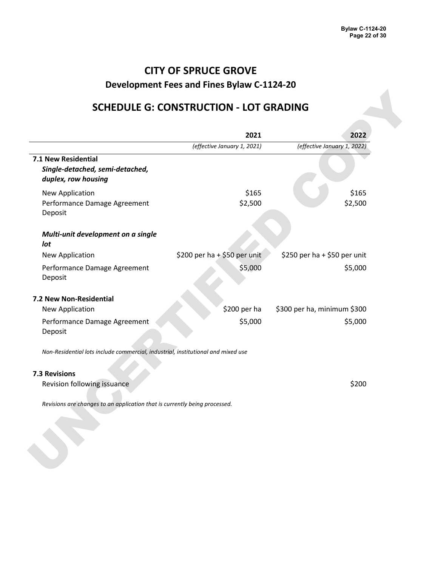## **CITY OF SPRUCE GROVE**

**Development Fees and Fines Bylaw C-1124-20**

## **SCHEDULE G: CONSTRUCTION - LOT GRADING**

|                                                                                  | 2021                         | 2022                         |
|----------------------------------------------------------------------------------|------------------------------|------------------------------|
|                                                                                  | (effective January 1, 2021)  | (effective January 1, 2022)  |
| 7.1 New Residential<br>Single-detached, semi-detached,<br>duplex, row housing    |                              |                              |
| New Application                                                                  | \$165                        | \$165                        |
| Performance Damage Agreement<br>Deposit                                          | \$2,500                      | \$2,500                      |
| Multi-unit development on a single<br>lot                                        |                              |                              |
| New Application                                                                  | \$200 per ha + \$50 per unit | \$250 per ha + \$50 per unit |
| Performance Damage Agreement<br>Deposit                                          | \$5,000                      | \$5,000                      |
| 7.2 New Non-Residential                                                          |                              |                              |
| New Application                                                                  | \$200 per ha                 | \$300 per ha, minimum \$300  |
| Performance Damage Agreement<br>Deposit                                          | \$5,000                      | \$5,000                      |
| Non-Residential lots include commercial, industrial, institutional and mixed use |                              |                              |
| <b>7.3 Revisions</b>                                                             |                              |                              |
| Revision following issuance                                                      |                              | \$200                        |
| Revisions are changes to an application that is currently being processed.       |                              |                              |
|                                                                                  |                              |                              |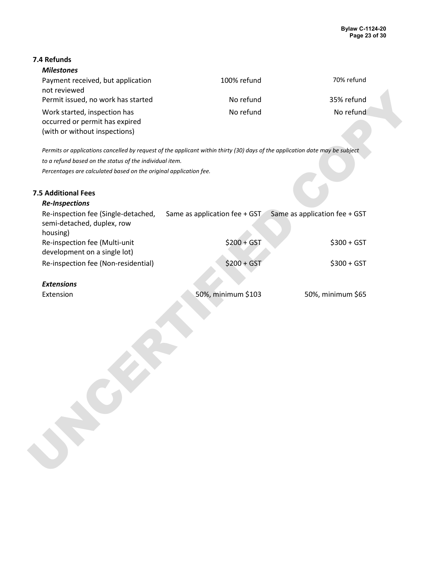### **7.4 Refunds**

| <b>Milestones</b> |
|-------------------|
|-------------------|

| Payment received, but application  | 100% refund | 70% refund |
|------------------------------------|-------------|------------|
| not reviewed                       |             |            |
| Permit issued, no work has started | No refund   | 35% refund |
| Work started, inspection has       | No refund   | No refund  |
| occurred or permit has expired     |             |            |
| (with or without inspections)      |             |            |

#### **7.5 Additional Fees**

| not reviewed<br>Permit issued, no work has started                                                                           | No refund                     | 35% refund                    |  |
|------------------------------------------------------------------------------------------------------------------------------|-------------------------------|-------------------------------|--|
| Work started, inspection has                                                                                                 | No refund                     | No refund                     |  |
| occurred or permit has expired<br>(with or without inspections)                                                              |                               |                               |  |
|                                                                                                                              |                               |                               |  |
| Permits or applications cancelled by request of the applicant within thirty (30) days of the application date may be subject |                               |                               |  |
| to a refund based on the status of the individual item.                                                                      |                               |                               |  |
| Percentages are calculated based on the original application fee.                                                            |                               |                               |  |
| <b>7.5 Additional Fees</b>                                                                                                   |                               |                               |  |
| <b>Re-Inspections</b>                                                                                                        |                               |                               |  |
| Re-inspection fee (Single-detached,<br>semi-detached, duplex, row<br>housing)                                                | Same as application fee + GST | Same as application fee + GST |  |
| Re-inspection fee (Multi-unit<br>development on a single lot)                                                                | $$200 + GST$                  | $$300 + GST$                  |  |
| Re-inspection fee (Non-residential)                                                                                          | $$200 + GST$                  | $$300 + GST$                  |  |
|                                                                                                                              |                               |                               |  |
| <b>Extensions</b>                                                                                                            |                               |                               |  |
| Extension                                                                                                                    | 50%, minimum \$103            | 50%, minimum \$65             |  |
|                                                                                                                              |                               |                               |  |
|                                                                                                                              |                               |                               |  |
|                                                                                                                              |                               |                               |  |
|                                                                                                                              |                               |                               |  |
|                                                                                                                              |                               |                               |  |
|                                                                                                                              |                               |                               |  |
|                                                                                                                              |                               |                               |  |
|                                                                                                                              |                               |                               |  |
|                                                                                                                              |                               |                               |  |
|                                                                                                                              |                               |                               |  |
|                                                                                                                              |                               |                               |  |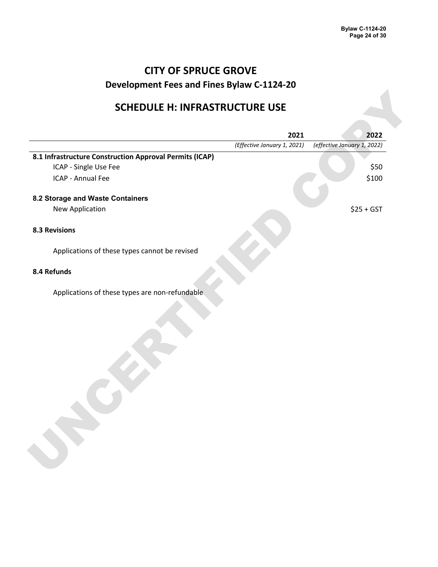## **SCHEDULE H: INFRASTRUCTURE USE**

|                                                         | 2021                        | 2022                        |
|---------------------------------------------------------|-----------------------------|-----------------------------|
|                                                         | (Effective January 1, 2021) | (effective January 1, 2022) |
| 8.1 Infrastructure Construction Approval Permits (ICAP) |                             |                             |
| ICAP - Single Use Fee                                   |                             | \$50                        |
| ICAP - Annual Fee                                       |                             | \$100                       |
| 8.2 Storage and Waste Containers                        |                             |                             |
| New Application                                         |                             | $$25 + GST$                 |
| <b>8.3 Revisions</b>                                    |                             |                             |
| Applications of these types cannot be revised           |                             |                             |
| 8.4 Refunds                                             |                             |                             |
| Applications of these types are non-refundable          |                             |                             |
|                                                         |                             |                             |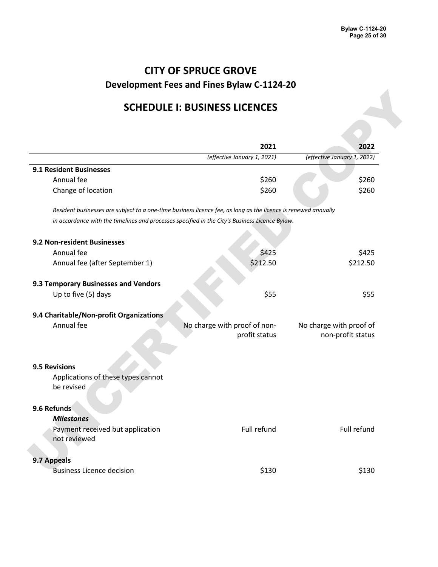## **SCHEDULE I: BUSINESS LICENCES**

| <b>SCHEDULE I: BUSINESS LICENCES</b>                                                                           |                              |                             |
|----------------------------------------------------------------------------------------------------------------|------------------------------|-----------------------------|
|                                                                                                                |                              |                             |
|                                                                                                                | 2021                         | 2022                        |
|                                                                                                                | (effective January 1, 2021)  | (effective January 1, 2022) |
| 9.1 Resident Businesses                                                                                        |                              |                             |
| Annual fee                                                                                                     | \$260                        | \$260                       |
| Change of location                                                                                             | \$260                        | \$260                       |
| Resident businesses are subject to a one-time business licence fee, as long as the licence is renewed annually |                              |                             |
| in accordance with the timelines and processes specified in the City's Business Licence Bylaw.                 |                              |                             |
| 9.2 Non-resident Businesses                                                                                    |                              |                             |
| Annual fee                                                                                                     | \$425                        | \$425                       |
| Annual fee (after September 1)                                                                                 | \$212.50                     | \$212.50                    |
| 9.3 Temporary Businesses and Vendors                                                                           |                              |                             |
| Up to five (5) days                                                                                            | \$55                         | \$55                        |
| 9.4 Charitable/Non-profit Organizations                                                                        |                              |                             |
| Annual fee                                                                                                     | No charge with proof of non- | No charge with proof of     |
|                                                                                                                | profit status                | non-profit status           |
|                                                                                                                |                              |                             |
| 9.5 Revisions                                                                                                  |                              |                             |
| Applications of these types cannot                                                                             |                              |                             |
| be revised                                                                                                     |                              |                             |
| 9.6 Refunds                                                                                                    |                              |                             |
| <b>Milestones</b>                                                                                              |                              |                             |
| Payment received but application                                                                               | Full refund                  | Full refund                 |
| not reviewed                                                                                                   |                              |                             |
| 9.7 Appeals                                                                                                    |                              |                             |
| <b>Business Licence decision</b>                                                                               | \$130                        | \$130                       |
|                                                                                                                |                              |                             |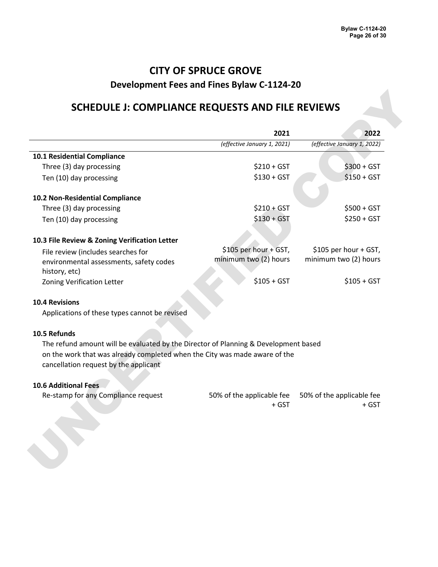## **CITY OF SPRUCE GROVE**

### **Development Fees and Fines Bylaw C-1124-20**

### **SCHEDULE J: COMPLIANCE REQUESTS AND FILE REVIEWS**

| (effective January 1, 2021)<br>(effective January 1, 2022)<br>10.1 Residential Compliance<br>$$210 + GST$<br>Three (3) day processing<br>$$300 + GST$<br>$$130 + GST$<br>$$150 + GST$<br>Ten (10) day processing<br>10.2 Non-Residential Compliance<br>Three (3) day processing<br>$$210 + GST$<br>$$500 + GST$<br>$$130 + GST$<br>$$250 + GST$<br>Ten (10) day processing<br>\$105 per hour + GST,<br>\$105 per hour + GST,<br>File review (includes searches for<br>minimum two (2) hours<br>minimum two (2) hours<br>environmental assessments, safety codes<br>history, etc)<br>$$105 + GST$<br>$$105 + GST$<br><b>Zoning Verification Letter</b><br><b>10.4 Revisions</b><br>Applications of these types cannot be revised<br>The refund amount will be evaluated by the Director of Planning & Development based<br>on the work that was already completed when the City was made aware of the<br>cancellation request by the applicant<br>Re-stamp for any Compliance request<br>50% of the applicable fee<br>50% of the applicable fee<br>+ GST<br>+ GST |                                               | 2021 | 2022 |
|------------------------------------------------------------------------------------------------------------------------------------------------------------------------------------------------------------------------------------------------------------------------------------------------------------------------------------------------------------------------------------------------------------------------------------------------------------------------------------------------------------------------------------------------------------------------------------------------------------------------------------------------------------------------------------------------------------------------------------------------------------------------------------------------------------------------------------------------------------------------------------------------------------------------------------------------------------------------------------------------------------------------------------------------------------------|-----------------------------------------------|------|------|
|                                                                                                                                                                                                                                                                                                                                                                                                                                                                                                                                                                                                                                                                                                                                                                                                                                                                                                                                                                                                                                                                  |                                               |      |      |
|                                                                                                                                                                                                                                                                                                                                                                                                                                                                                                                                                                                                                                                                                                                                                                                                                                                                                                                                                                                                                                                                  |                                               |      |      |
|                                                                                                                                                                                                                                                                                                                                                                                                                                                                                                                                                                                                                                                                                                                                                                                                                                                                                                                                                                                                                                                                  |                                               |      |      |
|                                                                                                                                                                                                                                                                                                                                                                                                                                                                                                                                                                                                                                                                                                                                                                                                                                                                                                                                                                                                                                                                  |                                               |      |      |
|                                                                                                                                                                                                                                                                                                                                                                                                                                                                                                                                                                                                                                                                                                                                                                                                                                                                                                                                                                                                                                                                  |                                               |      |      |
|                                                                                                                                                                                                                                                                                                                                                                                                                                                                                                                                                                                                                                                                                                                                                                                                                                                                                                                                                                                                                                                                  |                                               |      |      |
|                                                                                                                                                                                                                                                                                                                                                                                                                                                                                                                                                                                                                                                                                                                                                                                                                                                                                                                                                                                                                                                                  |                                               |      |      |
|                                                                                                                                                                                                                                                                                                                                                                                                                                                                                                                                                                                                                                                                                                                                                                                                                                                                                                                                                                                                                                                                  | 10.3 File Review & Zoning Verification Letter |      |      |
|                                                                                                                                                                                                                                                                                                                                                                                                                                                                                                                                                                                                                                                                                                                                                                                                                                                                                                                                                                                                                                                                  |                                               |      |      |
|                                                                                                                                                                                                                                                                                                                                                                                                                                                                                                                                                                                                                                                                                                                                                                                                                                                                                                                                                                                                                                                                  |                                               |      |      |
|                                                                                                                                                                                                                                                                                                                                                                                                                                                                                                                                                                                                                                                                                                                                                                                                                                                                                                                                                                                                                                                                  |                                               |      |      |
|                                                                                                                                                                                                                                                                                                                                                                                                                                                                                                                                                                                                                                                                                                                                                                                                                                                                                                                                                                                                                                                                  |                                               |      |      |
|                                                                                                                                                                                                                                                                                                                                                                                                                                                                                                                                                                                                                                                                                                                                                                                                                                                                                                                                                                                                                                                                  |                                               |      |      |
|                                                                                                                                                                                                                                                                                                                                                                                                                                                                                                                                                                                                                                                                                                                                                                                                                                                                                                                                                                                                                                                                  | 10.5 Refunds                                  |      |      |
|                                                                                                                                                                                                                                                                                                                                                                                                                                                                                                                                                                                                                                                                                                                                                                                                                                                                                                                                                                                                                                                                  |                                               |      |      |
|                                                                                                                                                                                                                                                                                                                                                                                                                                                                                                                                                                                                                                                                                                                                                                                                                                                                                                                                                                                                                                                                  |                                               |      |      |
|                                                                                                                                                                                                                                                                                                                                                                                                                                                                                                                                                                                                                                                                                                                                                                                                                                                                                                                                                                                                                                                                  | <b>10.6 Additional Fees</b>                   |      |      |
|                                                                                                                                                                                                                                                                                                                                                                                                                                                                                                                                                                                                                                                                                                                                                                                                                                                                                                                                                                                                                                                                  |                                               |      |      |
|                                                                                                                                                                                                                                                                                                                                                                                                                                                                                                                                                                                                                                                                                                                                                                                                                                                                                                                                                                                                                                                                  |                                               |      |      |
|                                                                                                                                                                                                                                                                                                                                                                                                                                                                                                                                                                                                                                                                                                                                                                                                                                                                                                                                                                                                                                                                  |                                               |      |      |

#### **10.5 Refunds**

#### **10.6 Additional Fees**

| Re-stamp for any Compliance request |       | 50% of the applicable fee 50% of the applicable fee |
|-------------------------------------|-------|-----------------------------------------------------|
|                                     | + GST | + GST                                               |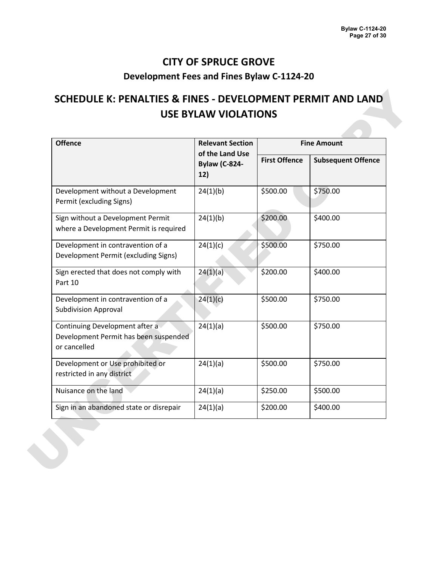# **SCHEDULE K: PENALTIES & FINES - DEVELOPMENT PERMIT AND LAND USE BYLAW VIOLATIONS**

| <b>Offence</b>                                                                          | <b>Relevant Section</b><br>of the Land Use<br><b>Bylaw (C-824-</b><br>12) | <b>Fine Amount</b>   |                           |
|-----------------------------------------------------------------------------------------|---------------------------------------------------------------------------|----------------------|---------------------------|
|                                                                                         |                                                                           | <b>First Offence</b> | <b>Subsequent Offence</b> |
| Development without a Development<br>Permit (excluding Signs)                           | 24(1)(b)                                                                  | \$500.00             | \$750.00                  |
| Sign without a Development Permit<br>where a Development Permit is required             | 24(1)(b)                                                                  | \$200.00             | \$400.00                  |
| Development in contravention of a<br>Development Permit (excluding Signs)               | 24(1)(c)                                                                  | \$500.00             | \$750.00                  |
| Sign erected that does not comply with<br>Part 10                                       | 24(1)(a)                                                                  | \$200.00             | \$400.00                  |
| Development in contravention of a<br><b>Subdivision Approval</b>                        | 24(1)(c)                                                                  | \$500.00             | \$750.00                  |
| Continuing Development after a<br>Development Permit has been suspended<br>or cancelled | 24(1)(a)                                                                  | \$500.00             | \$750.00                  |
| Development or Use prohibited or<br>restricted in any district                          | 24(1)(a)                                                                  | \$500.00             | \$750.00                  |
| Nuisance on the land                                                                    | 24(1)(a)                                                                  | \$250.00             | \$500.00                  |
| Sign in an abandoned state or disrepair                                                 | 24(1)(a)                                                                  | \$200.00             | \$400.00                  |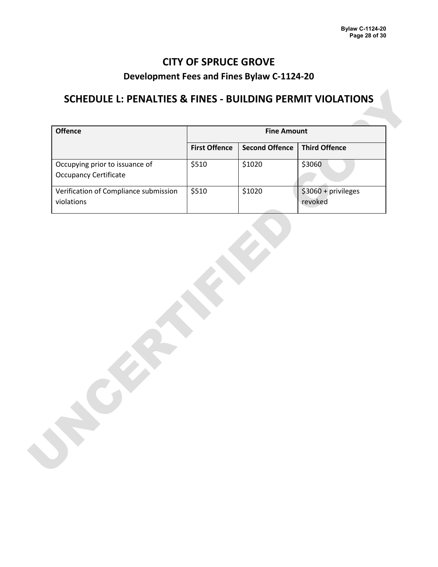## **SCHEDULE L: PENALTIES & FINES - BUILDING PERMIT VIOLATIONS**

| <b>Offence</b>                        | <b>Fine Amount</b>   |                       |                      |  |
|---------------------------------------|----------------------|-----------------------|----------------------|--|
|                                       | <b>First Offence</b> | <b>Second Offence</b> | <b>Third Offence</b> |  |
| Occupying prior to issuance of        | \$510                | \$1020                | \$3060               |  |
| <b>Occupancy Certificate</b>          |                      |                       |                      |  |
| Verification of Compliance submission | \$510                | \$1020                | $$3060 + privileges$ |  |
| violations                            |                      |                       | revoked              |  |
|                                       |                      |                       |                      |  |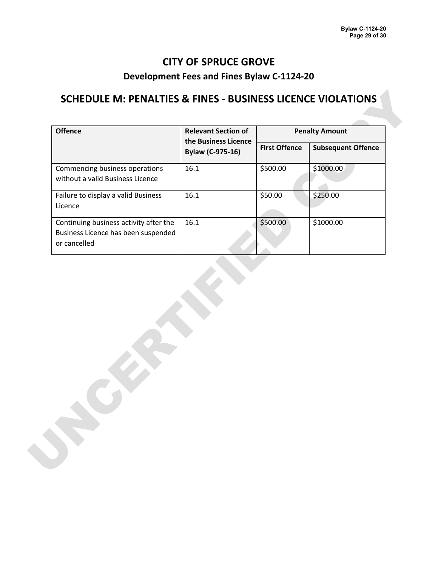## **SCHEDULE M: PENALTIES & FINES - BUSINESS LICENCE VIOLATIONS**

| <b>Offence</b>                                                                                | <b>Relevant Section of</b>                      | <b>Penalty Amount</b> |                           |
|-----------------------------------------------------------------------------------------------|-------------------------------------------------|-----------------------|---------------------------|
|                                                                                               | the Business Licence<br><b>Bylaw (C-975-16)</b> | <b>First Offence</b>  | <b>Subsequent Offence</b> |
| Commencing business operations<br>without a valid Business Licence                            | 16.1                                            | \$500.00              | \$1000.00                 |
| Failure to display a valid Business<br>Licence                                                | 16.1                                            | \$50.00               | \$250.00                  |
| Continuing business activity after the<br>Business Licence has been suspended<br>or cancelled | 16.1                                            | \$500.00              | \$1000.00                 |
|                                                                                               |                                                 |                       |                           |
|                                                                                               |                                                 |                       |                           |
|                                                                                               |                                                 |                       |                           |
|                                                                                               |                                                 |                       |                           |
|                                                                                               |                                                 |                       |                           |
|                                                                                               |                                                 |                       |                           |
|                                                                                               |                                                 |                       |                           |
|                                                                                               |                                                 |                       |                           |